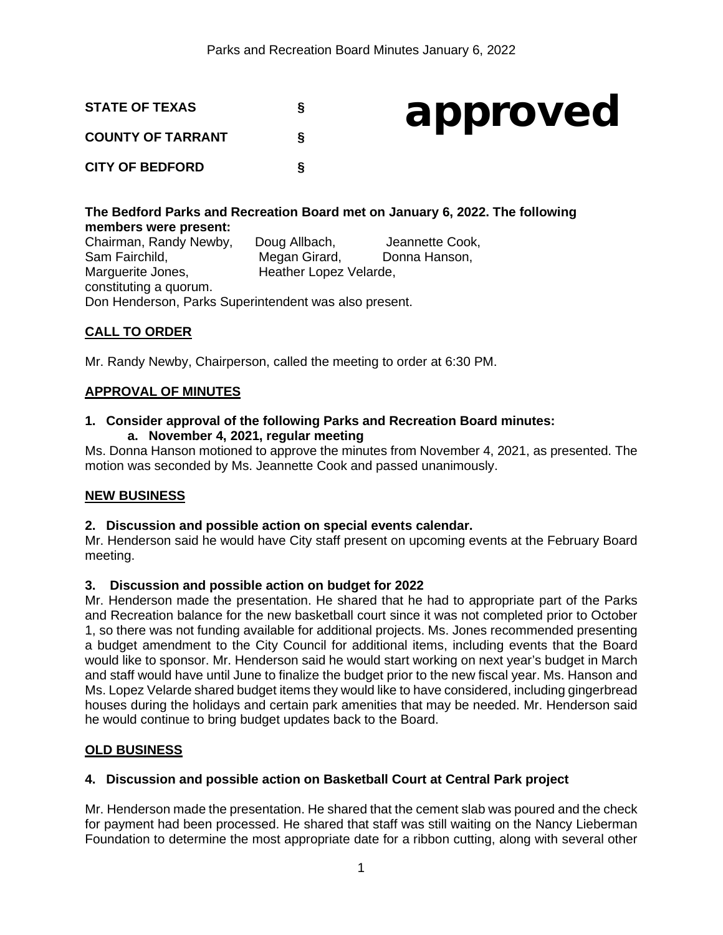

# approved

# **The Bedford Parks and Recreation Board met on January 6, 2022. The following members were present:**  Chairman, Randy Newby, Doug Allbach, Jeannette Cook,<br>
Sam Fairchild, Megan Girard. Donna Hanson.

Megan Girard, Donna Hanson, Marguerite Jones, Heather Lopez Velarde, constituting a quorum. Don Henderson, Parks Superintendent was also present.

# **CALL TO ORDER**

Mr. Randy Newby, Chairperson, called the meeting to order at 6:30 PM.

# **APPROVAL OF MINUTES**

#### **1. Consider approval of the following Parks and Recreation Board minutes: a. November 4, 2021, regular meeting**

Ms. Donna Hanson motioned to approve the minutes from November 4, 2021, as presented. The motion was seconded by Ms. Jeannette Cook and passed unanimously.

# **NEW BUSINESS**

#### **2. Discussion and possible action on special events calendar.**

Mr. Henderson said he would have City staff present on upcoming events at the February Board meeting.

#### **3. Discussion and possible action on budget for 2022**

Mr. Henderson made the presentation. He shared that he had to appropriate part of the Parks and Recreation balance for the new basketball court since it was not completed prior to October 1, so there was not funding available for additional projects. Ms. Jones recommended presenting a budget amendment to the City Council for additional items, including events that the Board would like to sponsor. Mr. Henderson said he would start working on next year's budget in March and staff would have until June to finalize the budget prior to the new fiscal year. Ms. Hanson and Ms. Lopez Velarde shared budget items they would like to have considered, including gingerbread houses during the holidays and certain park amenities that may be needed. Mr. Henderson said he would continue to bring budget updates back to the Board.

# **OLD BUSINESS**

# **4. Discussion and possible action on Basketball Court at Central Park project**

Mr. Henderson made the presentation. He shared that the cement slab was poured and the check for payment had been processed. He shared that staff was still waiting on the Nancy Lieberman Foundation to determine the most appropriate date for a ribbon cutting, along with several other